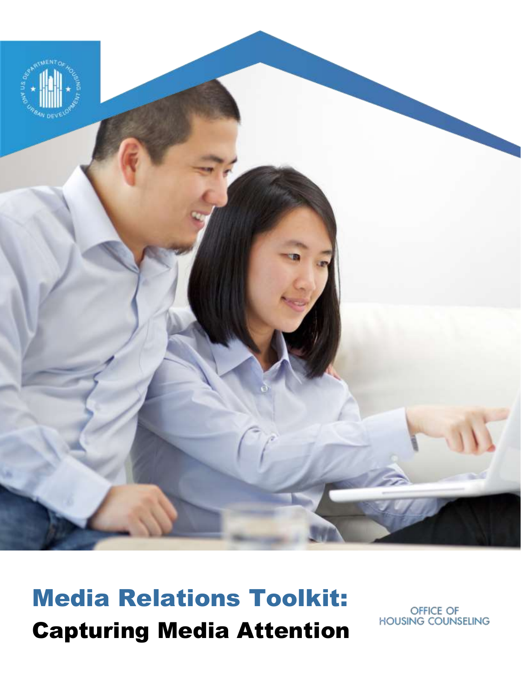

## Media Relations Toolkit: Capturing Media Attention

OFFICE OF **HOUSING COUNSELING**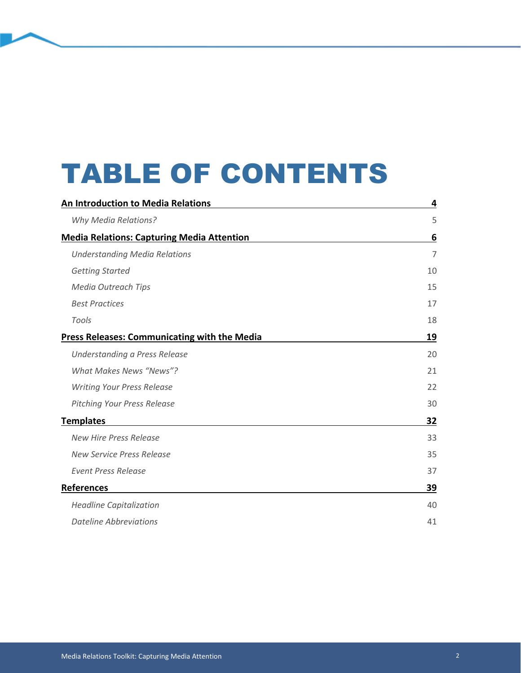# TABLE OF CONTENTS

| <b>An Introduction to Media Relations</b>           | 4              |
|-----------------------------------------------------|----------------|
| <b>Why Media Relations?</b>                         | 5              |
| <b>Media Relations: Capturing Media Attention</b>   | 6              |
| <b>Understanding Media Relations</b>                | $\overline{7}$ |
| <b>Getting Started</b>                              | 10             |
| <b>Media Outreach Tips</b>                          | 15             |
| <b>Best Practices</b>                               | 17             |
| Tools                                               | 18             |
| <b>Press Releases: Communicating with the Media</b> | 19             |
| Understanding a Press Release                       | 20             |
| <b>What Makes News "News"?</b>                      | 21             |
| <b>Writing Your Press Release</b>                   | 22             |
| <b>Pitching Your Press Release</b>                  | 30             |
| <b>Templates</b>                                    | 32             |
| <b>New Hire Press Release</b>                       | 33             |
| New Service Press Release                           | 35             |
| <b>Event Press Release</b>                          | 37             |
| <b>References</b>                                   | 39             |
| <b>Headline Capitalization</b>                      | 40             |
| <b>Dateline Abbreviations</b>                       | 41             |
|                                                     |                |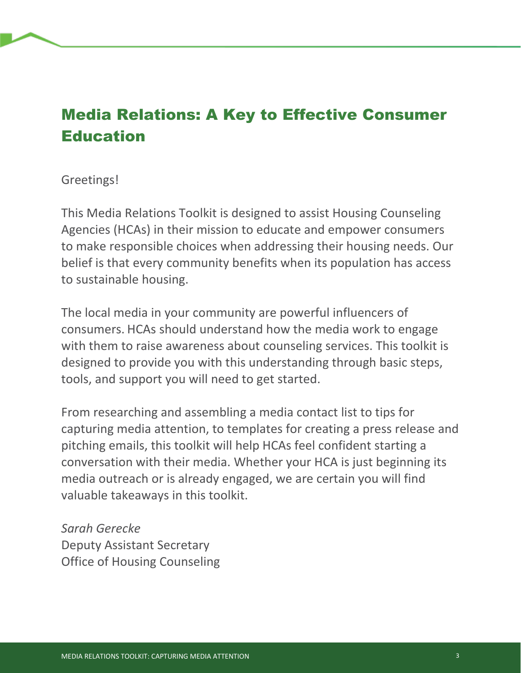## Media Relations: A Key to Effective Consumer Education

## Greetings!

This Media Relations Toolkit is designed to assist Housing Counseling Agencies (HCAs) in their mission to educate and empower consumers to make responsible choices when addressing their housing needs. Our belief is that every community benefits when its population has access to sustainable housing.

The local media in your community are powerful influencers of consumers. HCAs should understand how the media work to engage with them to raise awareness about counseling services. This toolkit is designed to provide you with this understanding through basic steps, tools, and support you will need to get started.

From researching and assembling a media contact list to tips for capturing media attention, to templates for creating a press release and pitching emails, this toolkit will help HCAs feel confident starting a conversation with their media. Whether your HCA is just beginning its media outreach or is already engaged, we are certain you will find valuable takeaways in this toolkit.

*Sarah Gerecke* Deputy Assistant Secretary Office of Housing Counseling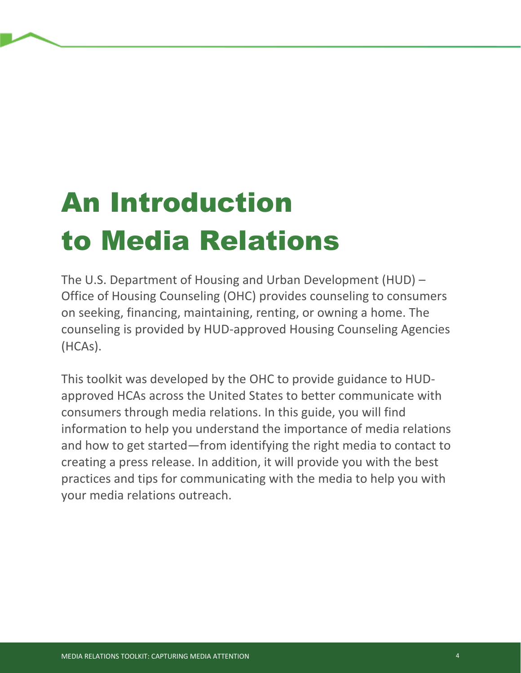# An Introduction to Media Relations

The U.S. Department of Housing and Urban Development (HUD) – Office of Housing Counseling (OHC) provides counseling to consumers on seeking, financing, maintaining, renting, or owning a home. The counseling is provided by HUD-approved Housing Counseling Agencies (HCAs).

This toolkit was developed by the OHC to provide guidance to HUDapproved HCAs across the United States to better communicate with consumers through media relations. In this guide, you will find information to help you understand the importance of media relations and how to get started—from identifying the right media to contact to creating a press release. In addition, it will provide you with the best practices and tips for communicating with the media to help you with your media relations outreach.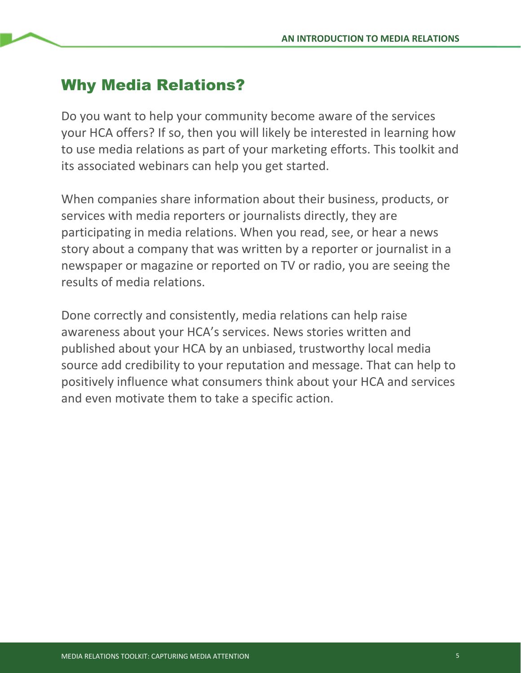## Why Media Relations?

Do you want to help your community become aware of the services your HCA offers? If so, then you will likely be interested in learning how to use media relations as part of your marketing efforts. This toolkit and its associated webinars can help you get started.

When companies share information about their business, products, or services with media reporters or journalists directly, they are participating in media relations. When you read, see, or hear a news story about a company that was written by a reporter or journalist in a newspaper or magazine or reported on TV or radio, you are seeing the results of media relations.

Done correctly and consistently, media relations can help raise awareness about your HCA's services. News stories written and published about your HCA by an unbiased, trustworthy local media source add credibility to your reputation and message. That can help to positively influence what consumers think about your HCA and services and even motivate them to take a specific action.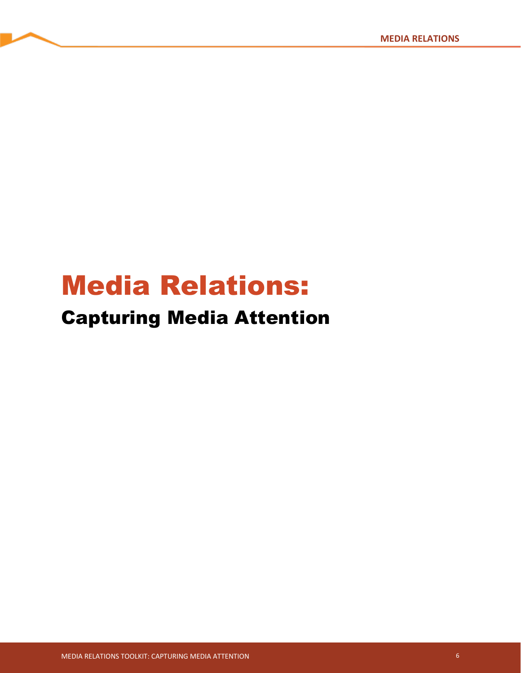# Media Relations:

## Capturing Media Attention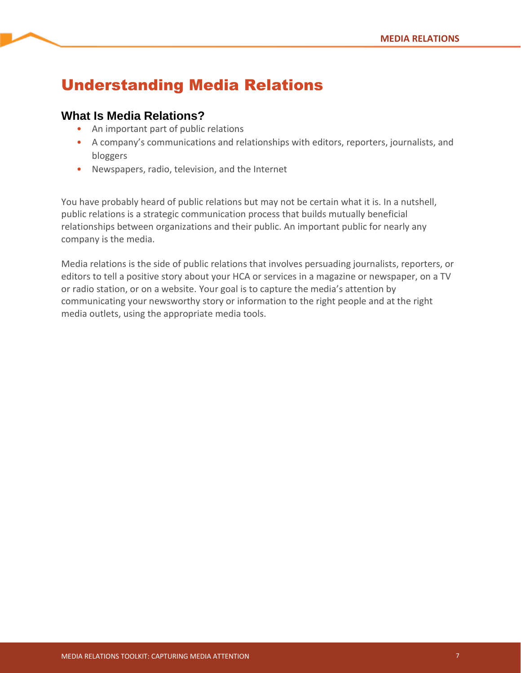## Understanding Media Relations

## **What Is Media Relations?**

- An important part of public relations
- A company's communications and relationships with editors, reporters, journalists, and bloggers
- Newspapers, radio, television, and the Internet

You have probably heard of public relations but may not be certain what it is. In a nutshell, public relations is a strategic communication process that builds mutually beneficial relationships between organizations and their public. An important public for nearly any company is the media.

Media relations is the side of public relations that involves persuading journalists, reporters, or editors to tell a positive story about your HCA or services in a magazine or newspaper, on a TV or radio station, or on a website. Your goal is to capture the media's attention by communicating your newsworthy story or information to the right people and at the right media outlets, using the appropriate media tools.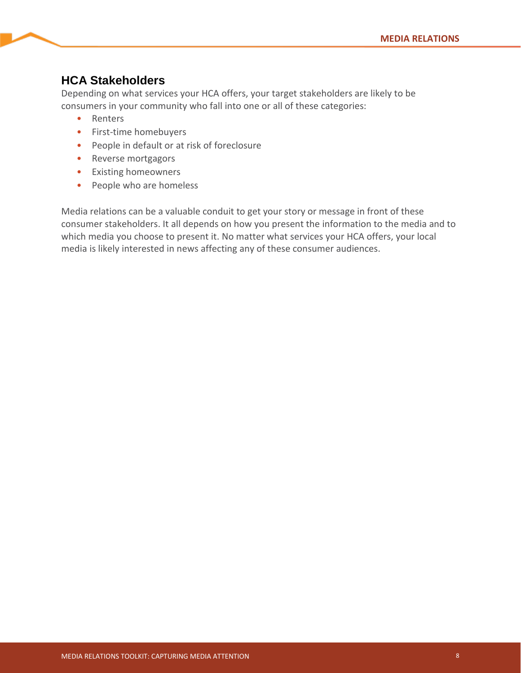## **HCA Stakeholders**

Depending on what services your HCA offers, your target stakeholders are likely to be consumers in your community who fall into one or all of these categories:

- Renters
- First-time homebuyers
- People in default or at risk of foreclosure
- Reverse mortgagors
- Existing homeowners
- People who are homeless

Media relations can be a valuable conduit to get your story or message in front of these consumer stakeholders. It all depends on how you present the information to the media and to which media you choose to present it. No matter what services your HCA offers, your local media is likely interested in news affecting any of these consumer audiences.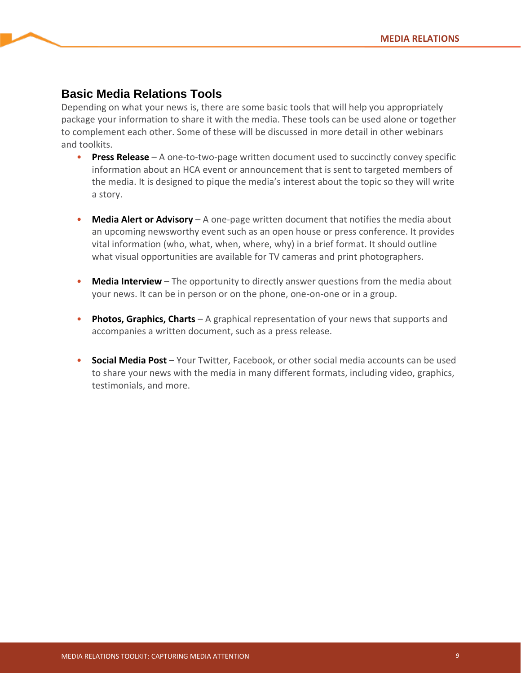## **Basic Media Relations Tools**

Depending on what your news is, there are some basic tools that will help you appropriately package your information to share it with the media. These tools can be used alone or together to complement each other. Some of these will be discussed in more detail in other webinars and toolkits.

- **Press Release** A one-to-two-page written document used to succinctly convey specific information about an HCA event or announcement that is sent to targeted members of the media. It is designed to pique the media's interest about the topic so they will write a story.
- **Media Alert or Advisory** A one-page written document that notifies the media about an upcoming newsworthy event such as an open house or press conference. It provides vital information (who, what, when, where, why) in a brief format. It should outline what visual opportunities are available for TV cameras and print photographers.
- **Media Interview** The opportunity to directly answer questions from the media about your news. It can be in person or on the phone, one-on-one or in a group.
- **Photos, Graphics, Charts** A graphical representation of your news that supports and accompanies a written document, such as a press release.
- **Social Media Post** Your Twitter, Facebook, or other social media accounts can be used to share your news with the media in many different formats, including video, graphics, testimonials, and more.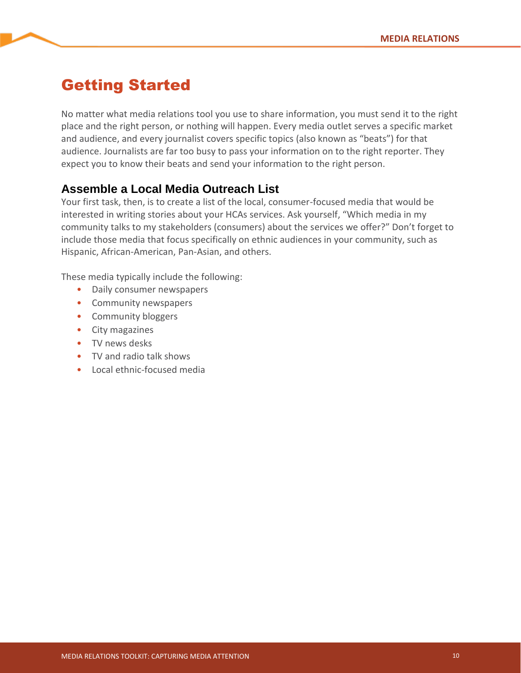## Getting Started

No matter what media relations tool you use to share information, you must send it to the right place and the right person, or nothing will happen. Every media outlet serves a specific market and audience, and every journalist covers specific topics (also known as "beats") for that audience. Journalists are far too busy to pass your information on to the right reporter. They expect you to know their beats and send your information to the right person.

## **Assemble a Local Media Outreach List**

Your first task, then, is to create a list of the local, consumer-focused media that would be interested in writing stories about your HCAs services. Ask yourself, "Which media in my community talks to my stakeholders (consumers) about the services we offer?" Don't forget to include those media that focus specifically on ethnic audiences in your community, such as Hispanic, African-American, Pan-Asian, and others.

These media typically include the following:

- Daily consumer newspapers
- Community newspapers
- Community bloggers
- City magazines
- TV news desks
- TV and radio talk shows
- Local ethnic-focused media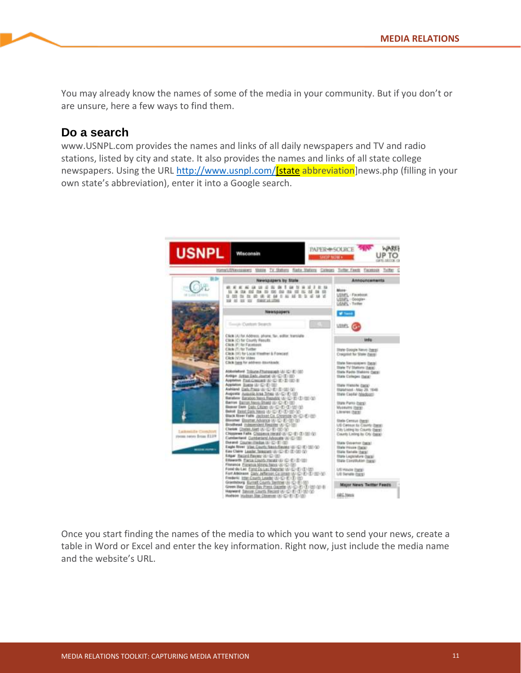You may already know the names of some of the media in your community. But if you don't or are unsure, here a few ways to find them.

### **Do a search**

www.USNPL.com provides the names and links of all daily newspapers and TV and radio stations, listed by city and state. It also provides the names and links of all state college newspapers. Using the URL http://www.usnpl.com/**[state abbreviation**]news.php (filling in your own state's abbreviation), enter it into a Google search.



Once you start finding the names of the media to which you want to send your news, create a table in Word or Excel and enter the key information. Right now, just include the media name and the website's URL.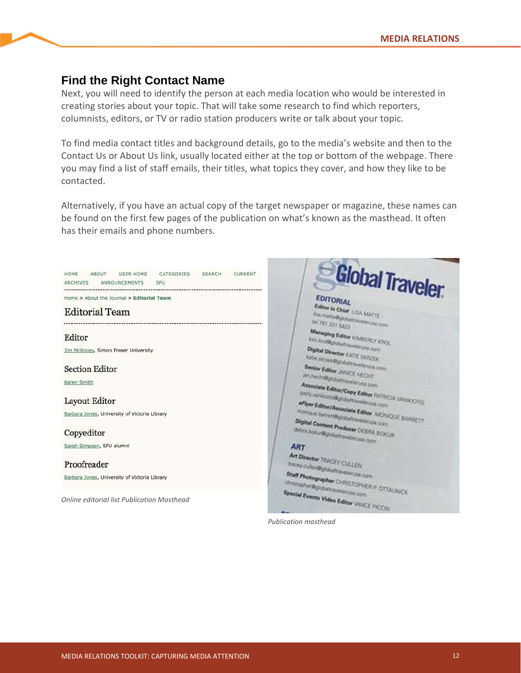## **Find the Right Contact Name**

Next, you will need to identify the person at each media location who would be interested in creating stories about your topic. That will take some research to find which reporters, columnists, editors, or TV or radio station producers write or talk about your topic.

To find media contact titles and background details, go to the media's website and then to the Contact Us or About Us link, usually located either at the top or bottom of the webpage. There you may find a list of staff emails, their titles, what topics they cover, and how they like to be contacted.

Alternatively, if you have an actual copy of the target newspaper or magazine, these names can be found on the first few pages of the publication on what's known as the masthead. It often has their emails and phone numbers.



*Publication masthead*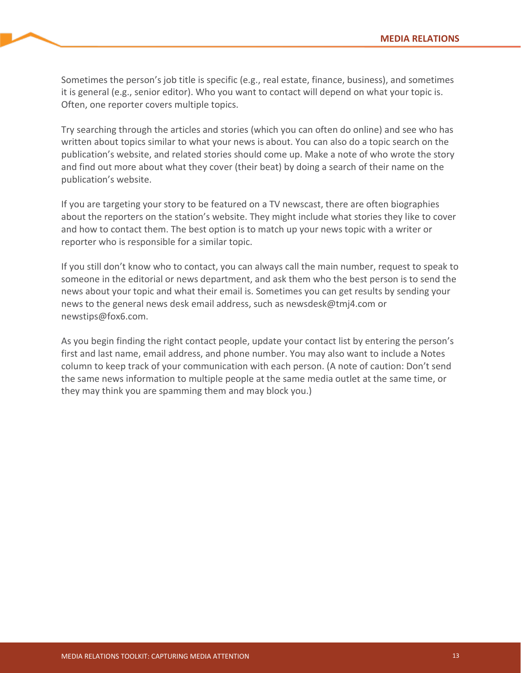Sometimes the person's job title is specific (e.g., real estate, finance, business), and sometimes it is general (e.g., senior editor). Who you want to contact will depend on what your topic is. Often, one reporter covers multiple topics.

Try searching through the articles and stories (which you can often do online) and see who has written about topics similar to what your news is about. You can also do a topic search on the publication's website, and related stories should come up. Make a note of who wrote the story and find out more about what they cover (their beat) by doing a search of their name on the publication's website.

If you are targeting your story to be featured on a TV newscast, there are often biographies about the reporters on the station's website. They might include what stories they like to cover and how to contact them. The best option is to match up your news topic with a writer or reporter who is responsible for a similar topic.

If you still don't know who to contact, you can always call the main number, request to speak to someone in the editorial or news department, and ask them who the best person is to send the news about your topic and what their email is. Sometimes you can get results by sending your news to the general news desk email address, such as newsdesk@tmj4.com or newstips@fox6.com.

As you begin finding the right contact people, update your contact list by entering the person's first and last name, email address, and phone number. You may also want to include a Notes column to keep track of your communication with each person. (A note of caution: Don't send the same news information to multiple people at the same media outlet at the same time, or they may think you are spamming them and may block you.)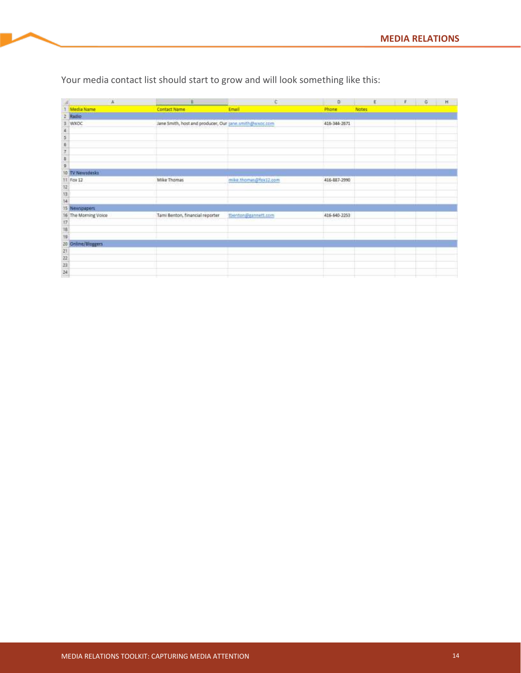|                | ۰                                                      |                                                        | <b>College</b>        | $\Omega$     | $F = F G$    |  | $\mathsf{H}% _{\mathsf{H}}^{\ast }=\mathsf{H}_{\mathsf{H}}^{\ast }$ |
|----------------|--------------------------------------------------------|--------------------------------------------------------|-----------------------|--------------|--------------|--|---------------------------------------------------------------------|
|                | Media Name<br>Radio                                    | <b>Contact Name</b>                                    | Email                 | Phone        | <b>Notes</b> |  |                                                                     |
|                |                                                        |                                                        |                       |              |              |  |                                                                     |
|                | WXOC                                                   | Jane Smith, host and producer, Our jane smith@wxoc.com |                       | 416-344-2671 |              |  |                                                                     |
|                |                                                        |                                                        |                       |              |              |  |                                                                     |
|                |                                                        |                                                        |                       |              |              |  |                                                                     |
|                |                                                        |                                                        |                       |              |              |  |                                                                     |
| o o v o        |                                                        |                                                        |                       |              |              |  |                                                                     |
|                |                                                        |                                                        |                       |              |              |  |                                                                     |
|                |                                                        |                                                        |                       |              |              |  |                                                                     |
| 10             | <b>EV Newsdasks</b>                                    |                                                        |                       |              |              |  |                                                                     |
|                | 11 Fox 12                                              | Mike Thomas                                            | mike.thomas@fok12.com | 416-887-2990 |              |  |                                                                     |
|                |                                                        |                                                        |                       |              |              |  |                                                                     |
| $\frac{12}{4}$ |                                                        |                                                        |                       |              |              |  |                                                                     |
|                |                                                        |                                                        |                       |              |              |  |                                                                     |
| 16             | Newspapers<br>The Morning Voice                        | Tami Benton, financial reporter                        | tbenton@gannett.com   | 416-640-2253 |              |  |                                                                     |
|                |                                                        |                                                        |                       |              |              |  |                                                                     |
| 17<br>18<br>19 |                                                        |                                                        |                       |              |              |  |                                                                     |
|                |                                                        |                                                        |                       |              |              |  |                                                                     |
|                |                                                        |                                                        |                       |              |              |  |                                                                     |
|                |                                                        |                                                        |                       |              |              |  |                                                                     |
|                |                                                        |                                                        |                       |              |              |  |                                                                     |
|                |                                                        |                                                        |                       |              |              |  |                                                                     |
|                | 20   Online/Bloggers<br>  21  <br>  22<br>  23<br>  24 |                                                        |                       |              |              |  |                                                                     |

Your media contact list should start to grow and will look something like this: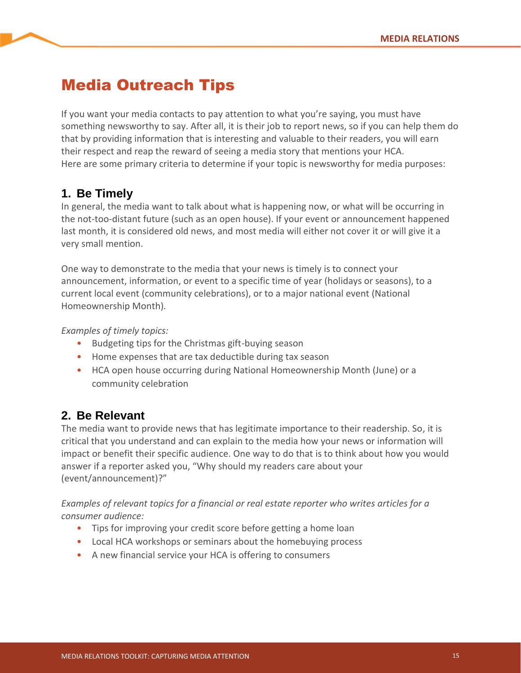## Media Outreach Tips

If you want your media contacts to pay attention to what you're saying, you must have something newsworthy to say. After all, it is their job to report news, so if you can help them do that by providing information that is interesting and valuable to their readers, you will earn their respect and reap the reward of seeing a media story that mentions your HCA. Here are some primary criteria to determine if your topic is newsworthy for media purposes:

## **1. Be Timely**

In general, the media want to talk about what is happening now, or what will be occurring in the not-too-distant future (such as an open house). If your event or announcement happened last month, it is considered old news, and most media will either not cover it or will give it a very small mention.

One way to demonstrate to the media that your news is timely is to connect your announcement, information, or event to a specific time of year (holidays or seasons), to a current local event (community celebrations), or to a major national event (National Homeownership Month).

*Examples of timely topics:*

- Budgeting tips for the Christmas gift-buying season
- Home expenses that are tax deductible during tax season
- HCA open house occurring during National Homeownership Month (June) or a community celebration

## **2. Be Relevant**

The media want to provide news that has legitimate importance to their readership. So, it is critical that you understand and can explain to the media how your news or information will impact or benefit their specific audience. One way to do that is to think about how you would answer if a reporter asked you, "Why should my readers care about your (event/announcement)?"

*Examples of relevant topics for a financial or real estate reporter who writes articles for a consumer audience:*

- Tips for improving your credit score before getting a home loan
- Local HCA workshops or seminars about the homebuying process
- A new financial service your HCA is offering to consumers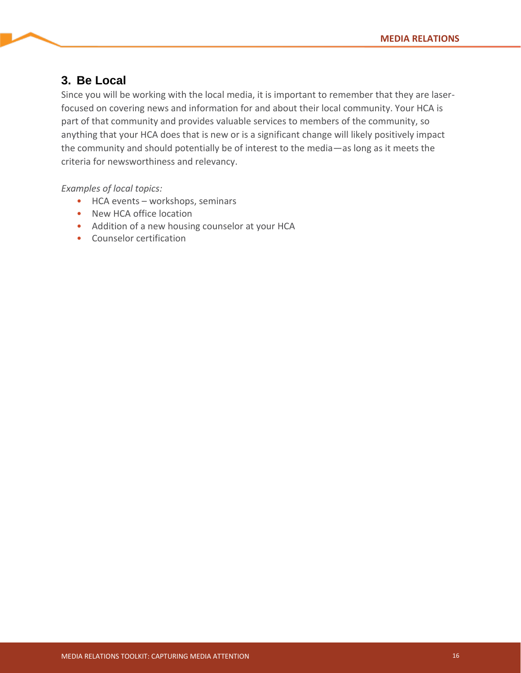## **3. Be Local**

Since you will be working with the local media, it is important to remember that they are laserfocused on covering news and information for and about their local community. Your HCA is part of that community and provides valuable services to members of the community, so anything that your HCA does that is new or is a significant change will likely positively impact the community and should potentially be of interest to the media—as long as it meets the criteria for newsworthiness and relevancy.

*Examples of local topics:*

- HCA events workshops, seminars
- New HCA office location
- Addition of a new housing counselor at your HCA
- Counselor certification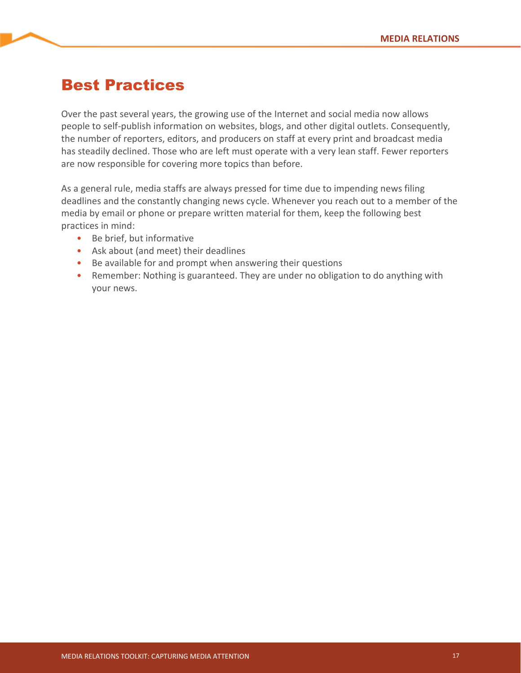## Best Practices

Over the past several years, the growing use of the Internet and social media now allows people to self-publish information on websites, blogs, and other digital outlets. Consequently, the number of reporters, editors, and producers on staff at every print and broadcast media has steadily declined. Those who are left must operate with a very lean staff. Fewer reporters are now responsible for covering more topics than before.

As a general rule, media staffs are always pressed for time due to impending news filing deadlines and the constantly changing news cycle. Whenever you reach out to a member of the media by email or phone or prepare written material for them, keep the following best practices in mind:

- Be brief, but informative
- Ask about (and meet) their deadlines
- Be available for and prompt when answering their questions
- Remember: Nothing is guaranteed. They are under no obligation to do anything with your news.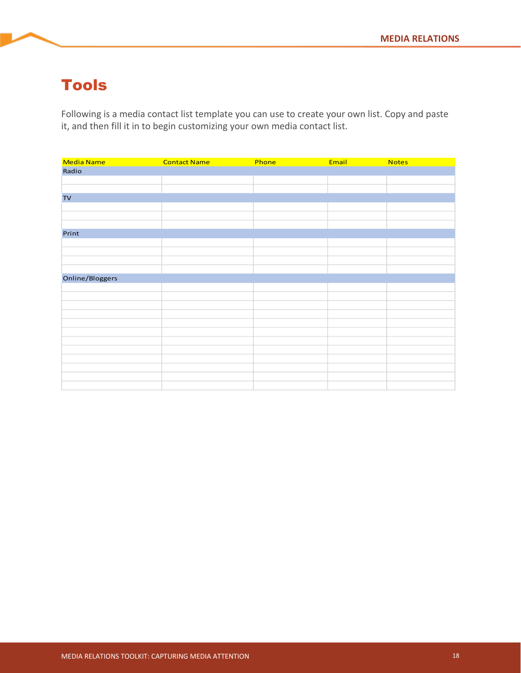## Tools

Following is a media contact list template you can use to create your own list. Copy and paste it, and then fill it in to begin customizing your own media contact list.

| Media Name      | <b>Contact Name</b> | Phone | Email | <b>Notes</b> |
|-----------------|---------------------|-------|-------|--------------|
| Radio           |                     |       |       |              |
|                 |                     |       |       |              |
|                 |                     |       |       |              |
| $\mathsf{TV}$   |                     |       |       |              |
|                 |                     |       |       |              |
|                 |                     |       |       |              |
|                 |                     |       |       |              |
| Print           |                     |       |       |              |
|                 |                     |       |       |              |
|                 |                     |       |       |              |
|                 |                     |       |       |              |
|                 |                     |       |       |              |
| Online/Bloggers |                     |       |       |              |
|                 |                     |       |       |              |
|                 |                     |       |       |              |
|                 |                     |       |       |              |
|                 |                     |       |       |              |
|                 |                     |       |       |              |
|                 |                     |       |       |              |
|                 |                     |       |       |              |
|                 |                     |       |       |              |
|                 |                     |       |       |              |
|                 |                     |       |       |              |
|                 |                     |       |       |              |
|                 |                     |       |       |              |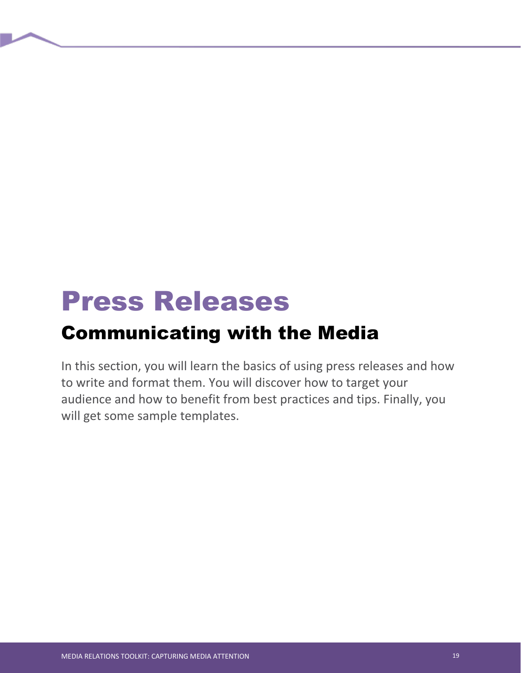# Press Releases

## Communicating with the Media

In this section, you will learn the basics of using press releases and how to write and format them. You will discover how to target your audience and how to benefit from best practices and tips. Finally, you will get some sample templates.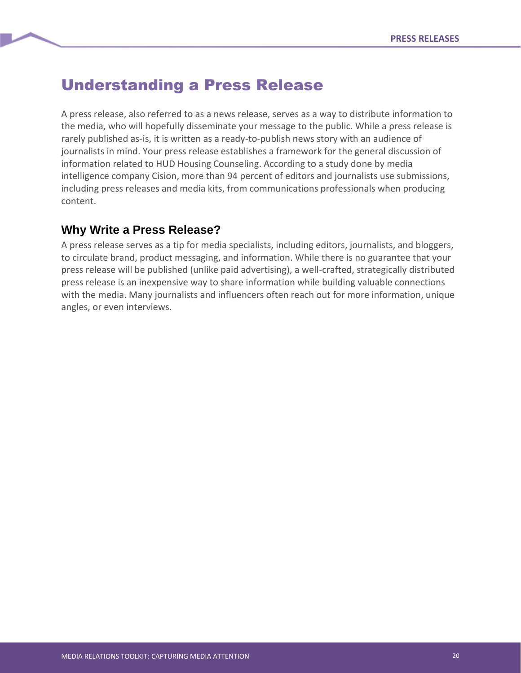## Understanding a Press Release

A press release, also referred to as a news release, serves as a way to distribute information to the media, who will hopefully disseminate your message to the public. While a press release is rarely published as-is, it is written as a ready-to-publish news story with an audience of journalists in mind. Your press release establishes a framework for the general discussion of information related to HUD Housing Counseling. According to a study done by media intelligence company Cision, more than 94 percent of editors and journalists use submissions, including press releases and media kits, from communications professionals when producing content.

## **Why Write a Press Release?**

A press release serves as a tip for media specialists, including editors, journalists, and bloggers, to circulate brand, product messaging, and information. While there is no guarantee that your press release will be published (unlike paid advertising), a well-crafted, strategically distributed press release is an inexpensive way to share information while building valuable connections with the media. Many journalists and influencers often reach out for more information, unique angles, or even interviews.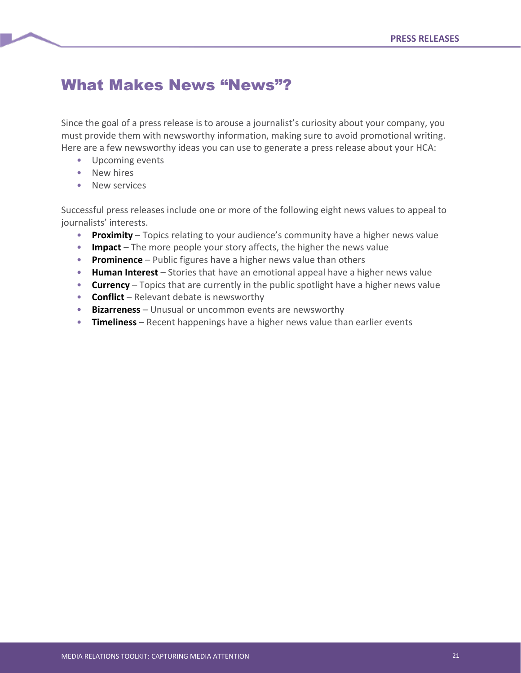## What Makes News "News"?

Since the goal of a press release is to arouse a journalist's curiosity about your company, you must provide them with newsworthy information, making sure to avoid promotional writing. Here are a few newsworthy ideas you can use to generate a press release about your HCA:

- Upcoming events
- New hires
- New services

Successful press releases include one or more of the following eight news values to appeal to journalists' interests.

- **Proximity** Topics relating to your audience's community have a higher news value
- **Impact** The more people your story affects, the higher the news value
- **Prominence** Public figures have a higher news value than others
- **Human Interest** Stories that have an emotional appeal have a higher news value
- **Currency** Topics that are currently in the public spotlight have a higher news value
- **Conflict** Relevant debate is newsworthy
- **Bizarreness** Unusual or uncommon events are newsworthy
- **Timeliness** Recent happenings have a higher news value than earlier events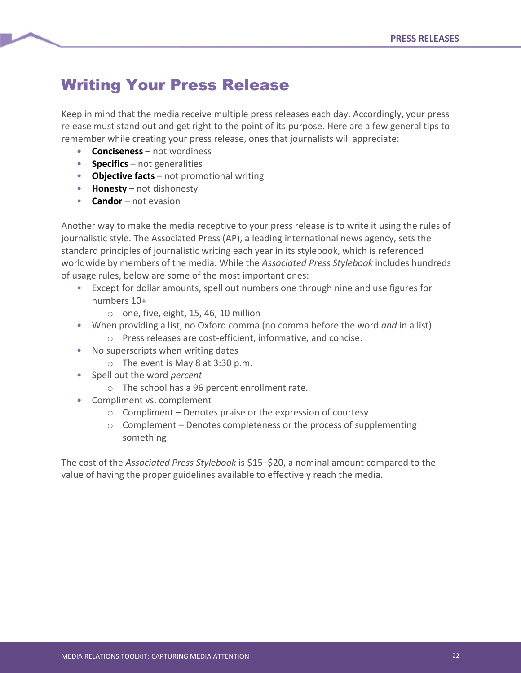## Writing Your Press Release

Keep in mind that the media receive multiple press releases each day. Accordingly, your press release must stand out and get right to the point of its purpose. Here are a few general tips to remember while creating your press release, ones that journalists will appreciate:

- **Conciseness** not wordiness
- **Specifics** not generalities
- **Objective facts** not promotional writing
- **Honesty** not dishonesty
- **Candor** not evasion

Another way to make the media receptive to your press release is to write it using the rules of journalistic style. The Associated Press (AP), a leading international news agency, sets the standard principles of journalistic writing each year in its stylebook, which is referenced worldwide by members of the media. While the *Associated Press Stylebook* includes hundreds of usage rules, below are some of the most important ones:

- Except for dollar amounts, spell out numbers one through nine and use figures for numbers 10+
	- o one, five, eight, 15, 46, 10 million
- When providing a list, no Oxford comma (no comma before the word *and* in a list) o Press releases are cost-efficient, informative, and concise.
- No superscripts when writing dates
	- o The event is May 8 at 3:30 p.m.
- Spell out the word *percent*
	- o The school has a 96 percent enrollment rate.
- Compliment vs. complement
	- $\circ$  Compliment Denotes praise or the expression of courtesy
	- o Complement Denotes completeness or the process of supplementing something

The cost of the *Associated Press Stylebook* is \$15–\$20, a nominal amount compared to the value of having the proper guidelines available to effectively reach the media.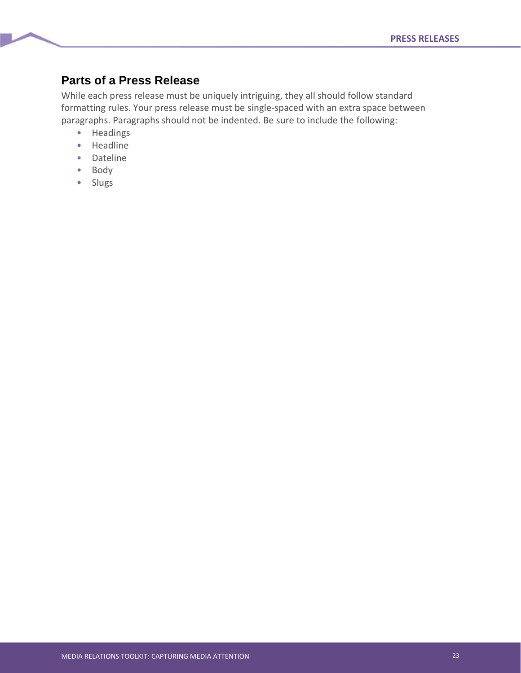## **Parts of a Press Release**

While each press release must be uniquely intriguing, they all should follow standard formatting rules. Your press release must be single-spaced with an extra space between paragraphs. Paragraphs should not be indented. Be sure to include the following:

- Headings
- Headline
- Dateline
- Body
- Slugs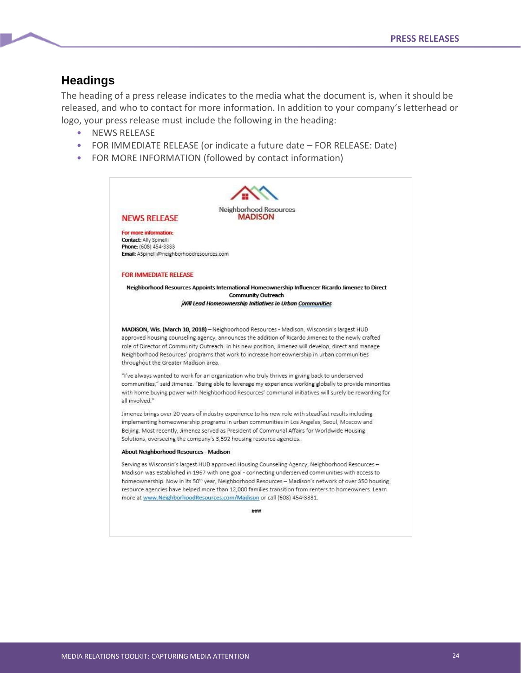### **Headings**

The heading of a press release indicates to the media what the document is, when it should be released, and who to contact for more information. In addition to your company's letterhead or logo, your press release must include the following in the heading:

- NEWS RELEASE
- FOR IMMEDIATE RELEASE (or indicate a future date FOR RELEASE: Date)
- FOR MORE INFORMATION (followed by contact information)

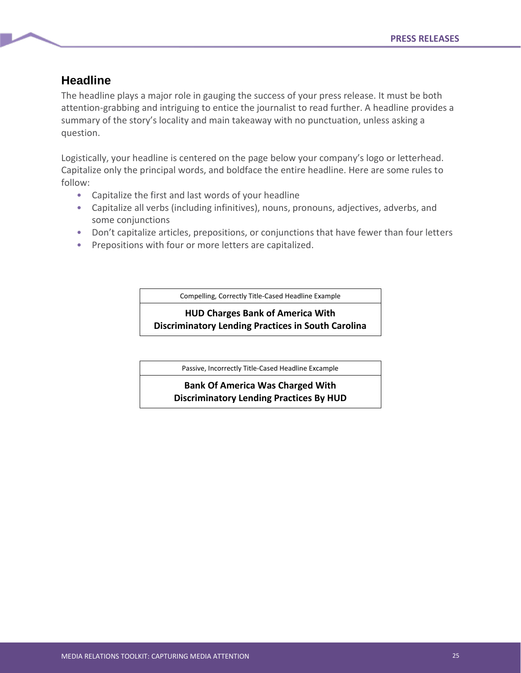## **Headline**

The headline plays a major role in gauging the success of your press release. It must be both attention-grabbing and intriguing to entice the journalist to read further. A headline provides a summary of the story's locality and main takeaway with no punctuation, unless asking a question.

Logistically, your headline is centered on the page below your company's logo or letterhead. Capitalize only the principal words, and boldface the entire headline. Here are some rules to follow:

- Capitalize the first and last words of your headline
- Capitalize all verbs (including infinitives), nouns, pronouns, adjectives, adverbs, and some conjunctions
- Don't capitalize articles, prepositions, or conjunctions that have fewer than four letters
- Prepositions with four or more letters are capitalized.

Compelling, Correctly Title-Cased Headline Example

#### **HUD Charges Bank of America With Discriminatory Lending Practices in South Carolina**

Passive, Incorrectly Title-Cased Headline Excample

**Bank Of America Was Charged With Discriminatory Lending Practices By HUD**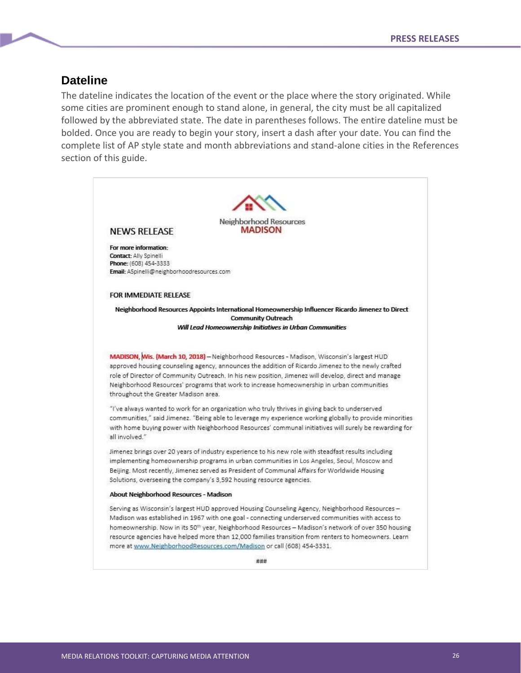## **Dateline**

The dateline indicates the location of the event or the place where the story originated. While some cities are prominent enough to stand alone, in general, the city must be all capitalized followed by the abbreviated state. The date in parentheses follows. The entire dateline must be bolded. Once you are ready to begin your story, insert a dash after your date. You can find the complete list of AP style state and month abbreviations and stand-alone cities in the References section of this guide.

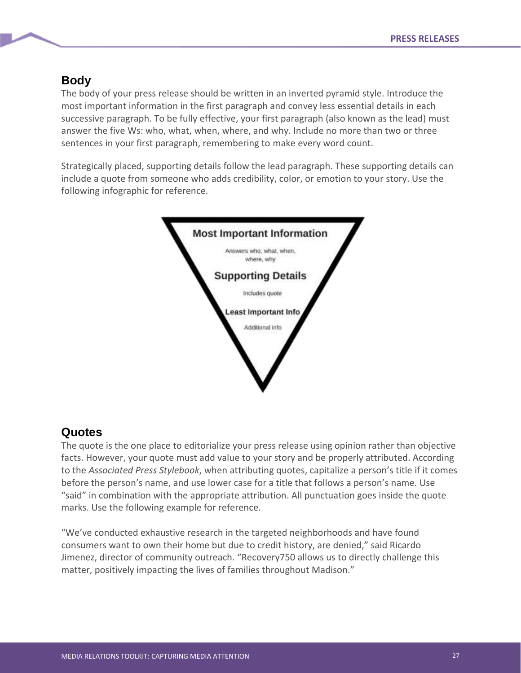## **Body**

The body of your press release should be written in an inverted pyramid style. Introduce the most important information in the first paragraph and convey less essential details in each successive paragraph. To be fully effective, your first paragraph (also known as the lead) must answer the five Ws: who, what, when, where, and why. Include no more than two or three sentences in your first paragraph, remembering to make every word count.

Strategically placed, supporting details follow the lead paragraph. These supporting details can include a quote from someone who adds credibility, color, or emotion to your story. Use the following infographic for reference.



## **Quotes**

The quote is the one place to editorialize your press release using opinion rather than objective facts. However, your quote must add value to your story and be properly attributed. According to the *Associated Press Stylebook*, when attributing quotes, capitalize a person's title if it comes before the person's name, and use lower case for a title that follows a person's name. Use "said" in combination with the appropriate attribution. All punctuation goes inside the quote marks. Use the following example for reference.

"We've conducted exhaustive research in the targeted neighborhoods and have found consumers want to own their home but due to credit history, are denied," said Ricardo Jimenez, director of community outreach. "Recovery750 allows us to directly challenge this matter, positively impacting the lives of families throughout Madison."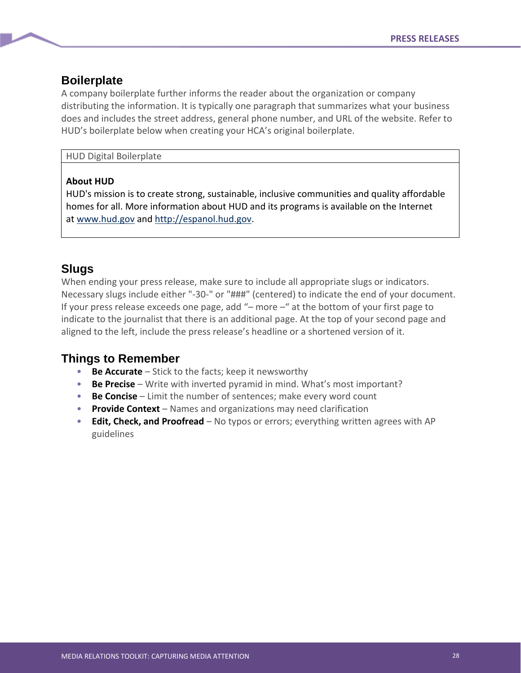### **Boilerplate**

A company boilerplate further informs the reader about the organization or company distributing the information. It is typically one paragraph that summarizes what your business does and includes the street address, general phone number, and URL of the website. Refer to HUD's boilerplate below when creating your HCA's original boilerplate.

#### HUD Digital Boilerplate

#### **About HUD**

HUD's mission is to create strong, sustainable, inclusive communities and quality affordable homes for all. More information about HUD and its programs is available on the Internet at [www.hud.gov](http://www.hud.gov/) and [http://espanol.hud.gov.](http://espanol.hud.gov/)

## **Slugs**

When ending your press release, make sure to include all appropriate slugs or indicators. Necessary slugs include either "-30-" or "###" (centered) to indicate the end of your document. If your press release exceeds one page, add "– more –" at the bottom of your first page to indicate to the journalist that there is an additional page. At the top of your second page and aligned to the left, include the press release's headline or a shortened version of it.

## **Things to Remember**

- **Be Accurate** Stick to the facts; keep it newsworthy
- **Be Precise** Write with inverted pyramid in mind. What's most important?
- **Be Concise** Limit the number of sentences; make every word count
- **Provide Context** Names and organizations may need clarification
- **Edit, Check, and Proofread** No typos or errors; everything written agrees with AP guidelines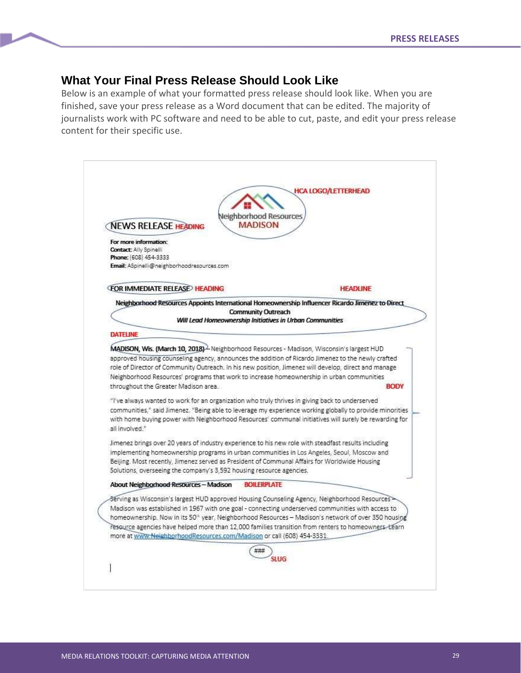## **What Your Final Press Release Should Look Like**

Below is an example of what your formatted press release should look like. When you are finished, save your press release as a Word document that can be edited. The majority of journalists work with PC software and need to be able to cut, paste, and edit your press release content for their specific use.

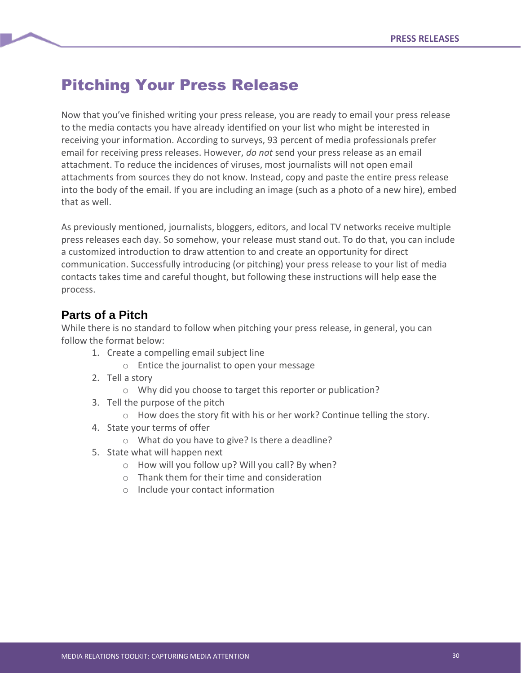## Pitching Your Press Release

Now that you've finished writing your press release, you are ready to email your press release to the media contacts you have already identified on your list who might be interested in receiving your information. According to surveys, 93 percent of media professionals prefer email for receiving press releases. However, *do not* send your press release as an email attachment. To reduce the incidences of viruses, most journalists will not open email attachments from sources they do not know. Instead, copy and paste the entire press release into the body of the email. If you are including an image (such as a photo of a new hire), embed that as well.

As previously mentioned, journalists, bloggers, editors, and local TV networks receive multiple press releases each day. So somehow, your release must stand out. To do that, you can include a customized introduction to draw attention to and create an opportunity for direct communication. Successfully introducing (or pitching) your press release to your list of media contacts takes time and careful thought, but following these instructions will help ease the process.

## **Parts of a Pitch**

While there is no standard to follow when pitching your press release, in general, you can follow the format below:

- 1. Create a compelling email subject line
	- o Entice the journalist to open your message
- 2. Tell a story
	- o Why did you choose to target this reporter or publication?
- 3. Tell the purpose of the pitch
	- $\circ$  How does the story fit with his or her work? Continue telling the story.
- 4. State your terms of offer
	- o What do you have to give? Is there a deadline?
- 5. State what will happen next
	- o How will you follow up? Will you call? By when?
	- o Thank them for their time and consideration
	- o Include your contact information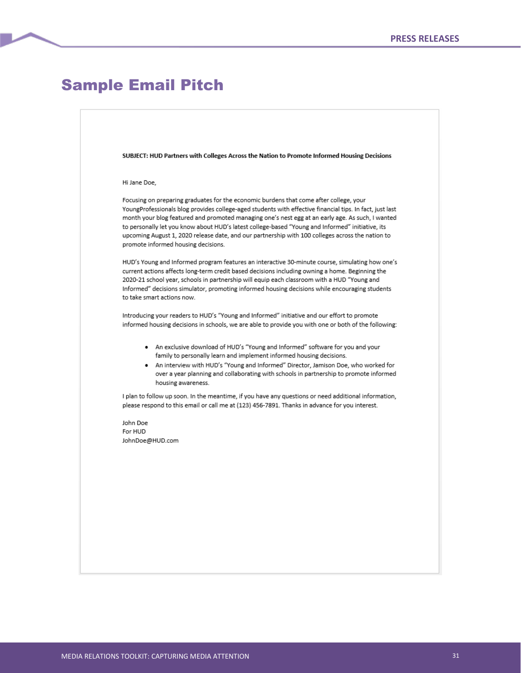## Sample Email Pitch

SUBJECT: HUD Partners with Colleges Across the Nation to Promote Informed Housing Decisions

#### Hi Jane Doe,

Focusing on preparing graduates for the economic burdens that come after college, your YoungProfessionals blog provides college-aged students with effective financial tips. In fact, just last month your blog featured and promoted managing one's nest egg at an early age. As such, I wanted to personally let you know about HUD's latest college-based "Young and Informed" initiative, its upcoming August 1, 2020 release date, and our partnership with 100 colleges across the nation to promote informed housing decisions.

HUD's Young and Informed program features an interactive 30-minute course, simulating how one's current actions affects long-term credit based decisions including owning a home. Beginning the 2020-21 school year, schools in partnership will equip each classroom with a HUD "Young and Informed" decisions simulator, promoting informed housing decisions while encouraging students to take smart actions now.

Introducing your readers to HUD's "Young and Informed" initiative and our effort to promote informed housing decisions in schools, we are able to provide you with one or both of the following:

- An exclusive download of HUD's "Young and Informed" software for you and your  $\bullet$ family to personally learn and implement informed housing decisions.
- An interview with HUD's "Young and Informed" Director, Jamison Doe, who worked for over a year planning and collaborating with schools in partnership to promote informed housing awareness.

I plan to follow up soon. In the meantime, if you have any questions or need additional information, please respond to this email or call me at (123) 456-7891. Thanks in advance for you interest.

John Doe For HUD JohnDoe@HUD.com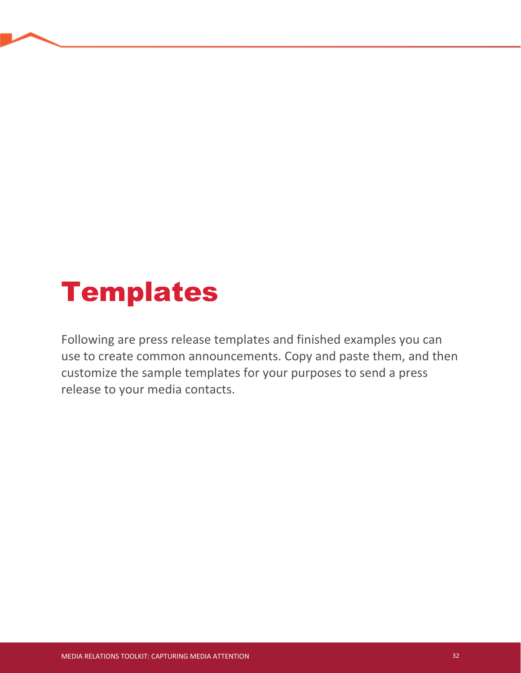# Templates

Following are press release templates and finished examples you can use to create common announcements. Copy and paste them, and then customize the sample templates for your purposes to send a press release to your media contacts.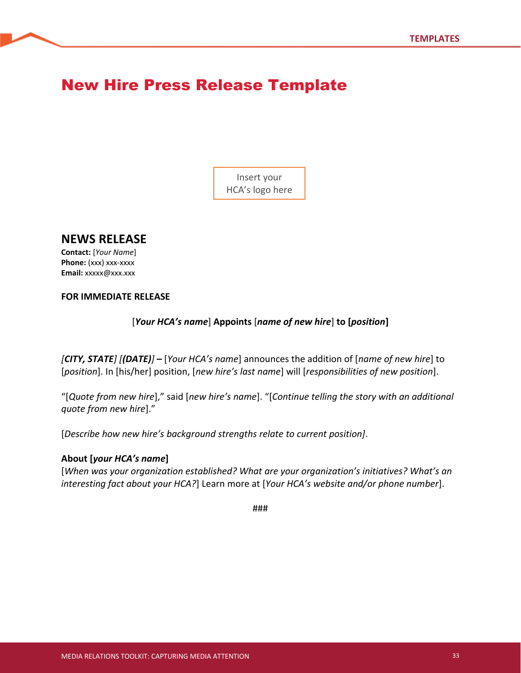## New Hire Press Release Template

Insert your HCA's logo here

## **NEWS RELEASE**

**Contact:** [*Your Name*] **Phone:** (xxx) xxx-xxxx **Email:** xxxxx@xxx.xxx

#### **FOR IMMEDIATE RELEASE**

[*Your HCA's name*] **Appoints** [*name of new hire*] **to [***position***]**

*[CITY, STATE] [(DATE)]* **–** [*Your HCA's name*] announces the addition of [*name of new hire*] to [*position*]. In [his/her] position, [*new hire's last name*] will [*responsibilities of new position*].

"[*Quote from new hire*]," said [*new hire's name*]. "[*Continue telling the story with an additional quote from new hire*]."

[*Describe how new hire's background strengths relate to current position]*.

#### **About [***your HCA's name***]**

[*When was your organization established? What are your organization's initiatives? What's an interesting fact about your HCA?*] Learn more at [*Your HCA's website and/or phone number*].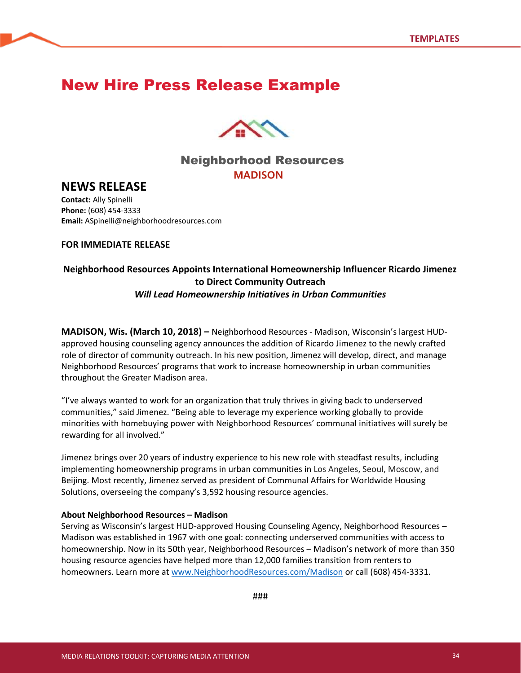## New Hire Press Release Example



## Neighborhood Resources **MADISON**

## **NEWS RELEASE**

**Contact:** Ally Spinelli **Phone:** (608) 454-3333 **Email:** ASpinelli@neighborhoodresources.com

#### **FOR IMMEDIATE RELEASE**

### **Neighborhood Resources Appoints International Homeownership Influencer Ricardo Jimenez to Direct Community Outreach** *Will Lead Homeownership Initiatives in Urban Communities*

**MADISON, Wis. (March 10, 2018) –** Neighborhood Resources - Madison, Wisconsin's largest HUDapproved housing counseling agency announces the addition of Ricardo Jimenez to the newly crafted role of director of community outreach. In his new position, Jimenez will develop, direct, and manage Neighborhood Resources' programs that work to increase homeownership in urban communities throughout the Greater Madison area.

"I've always wanted to work for an organization that truly thrives in giving back to underserved communities," said Jimenez. "Being able to leverage my experience working globally to provide minorities with homebuying power with Neighborhood Resources' communal initiatives will surely be rewarding for all involved."

Jimenez brings over 20 years of industry experience to his new role with steadfast results, including implementing homeownership programs in urban communities in Los Angeles, Seoul, Moscow, and Beijing. Most recently, Jimenez served as president of Communal Affairs for Worldwide Housing Solutions, overseeing the company's 3,592 housing resource agencies.

#### **About Neighborhood Resources – Madison**

Serving as Wisconsin's largest HUD-approved Housing Counseling Agency, Neighborhood Resources – Madison was established in 1967 with one goal: connecting underserved communities with access to homeownership. Now in its 50th year, Neighborhood Resources – Madison's network of more than 350 housing resource agencies have helped more than 12,000 families transition from renters to homeowners. Learn more at [www.NeighborhoodResources.com/Madison](http://www.neighborhoodresources.com/Madison) or call (608) 454-3331.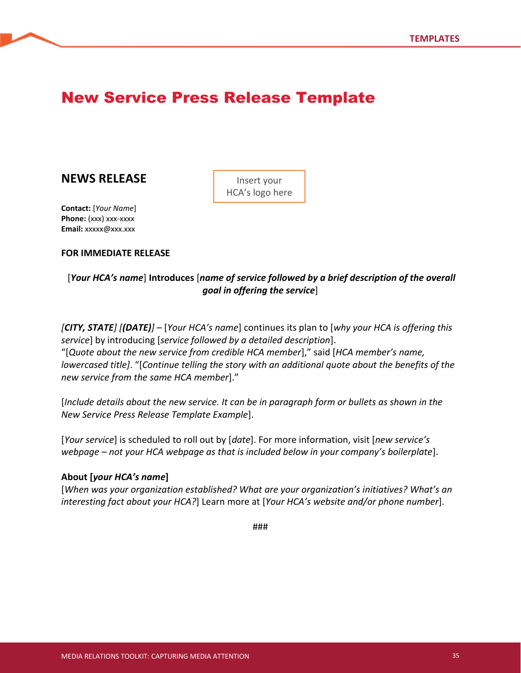## New Service Press Release Template

## **NEWS RELEASE**

Insert your HCA's logo here

**Contact:** [*Your Name*] **Phone:** (xxx) xxx-xxxx **Email:** xxxxx@xxx.xxx

#### **FOR IMMEDIATE RELEASE**

### [*Your HCA's name*] **Introduces** [*name of service followed by a brief description of the overall goal in offering the service*]

*[CITY, STATE] [(DATE)]* – [*Your HCA's name*] continues its plan to [*why your HCA is offering this service*] by introducing [*service followed by a detailed description*]. "[*Quote about the new service from credible HCA member*]," said [*HCA member's name, lowercased title]*. "[*Continue telling the story with an additional quote about the benefits of the new service from the same HCA member*]."

[*Include details about the new service. It can be in paragraph form or bullets as shown in the New Service Press Release Template Example*].

[*Your service*] is scheduled to roll out by [*date*]. For more information, visit [*new service's webpage – not your HCA webpage as that is included below in your company's boilerplate*].

#### **About [***your HCA's name***]**

[*When was your organization established? What are your organization's initiatives? What's an interesting fact about your HCA?*] Learn more at [*Your HCA's website and/or phone number*].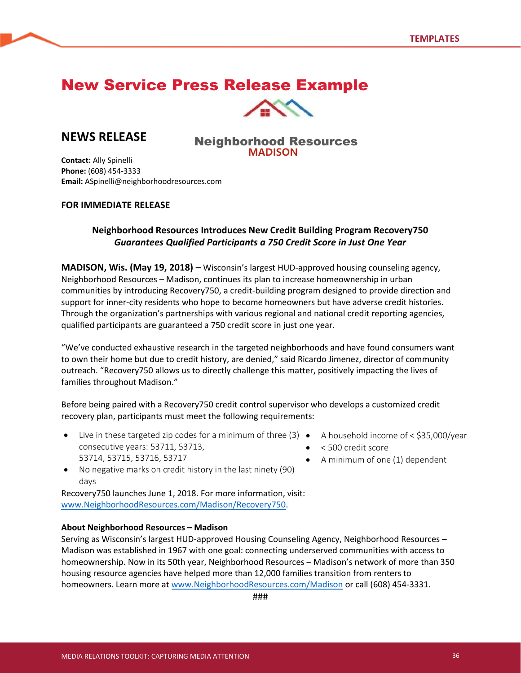## New Service Press Release Example



## **NEWS RELEASE**

#### Neighborhood Resources **MADISON**

**Contact:** Ally Spinelli **Phone:** (608) 454-3333 **Email:** ASpinelli@neighborhoodresources.com

#### **FOR IMMEDIATE RELEASE**

### **Neighborhood Resources Introduces New Credit Building Program Recovery750** *Guarantees Qualified Participants a 750 Credit Score in Just One Year*

**MADISON, Wis. (May 19, 2018) –** Wisconsin's largest HUD-approved housing counseling agency, Neighborhood Resources – Madison, continues its plan to increase homeownership in urban communities by introducing Recovery750, a credit-building program designed to provide direction and support for inner-city residents who hope to become homeowners but have adverse credit histories. Through the organization's partnerships with various regional and national credit reporting agencies, qualified participants are guaranteed a 750 credit score in just one year.

"We've conducted exhaustive research in the targeted neighborhoods and have found consumers want to own their home but due to credit history, are denied," said Ricardo Jimenez, director of community outreach. "Recovery750 allows us to directly challenge this matter, positively impacting the lives of families throughout Madison."

Before being paired with a Recovery750 credit control supervisor who develops a customized credit recovery plan, participants must meet the following requirements:

- Live in these targeted zip codes for a minimum of three (3) A household income of < \$35,000/year consecutive years: 53711, 53713, 53714, 53715, 53716, 53717
- - < 500 credit score
	- A minimum of one (1) dependent
- No negative marks on credit history in the last ninety (90) days

Recovery750 launches June 1, 2018. For more information, visit: [www.NeighborhoodResources.com/Madison/Recovery750.](http://www.neighborhoodresources.com/Madison/Recovery750)

#### **About Neighborhood Resources – Madison**

Serving as Wisconsin's largest HUD-approved Housing Counseling Agency, Neighborhood Resources – Madison was established in 1967 with one goal: connecting underserved communities with access to homeownership. Now in its 50th year, Neighborhood Resources – Madison's network of more than 350 housing resource agencies have helped more than 12,000 families transition from renters to homeowners. Learn more at [www.NeighborhoodResources.com/Madison](http://www.neighborhoodresources.com/Madison) or call (608) 454-3331.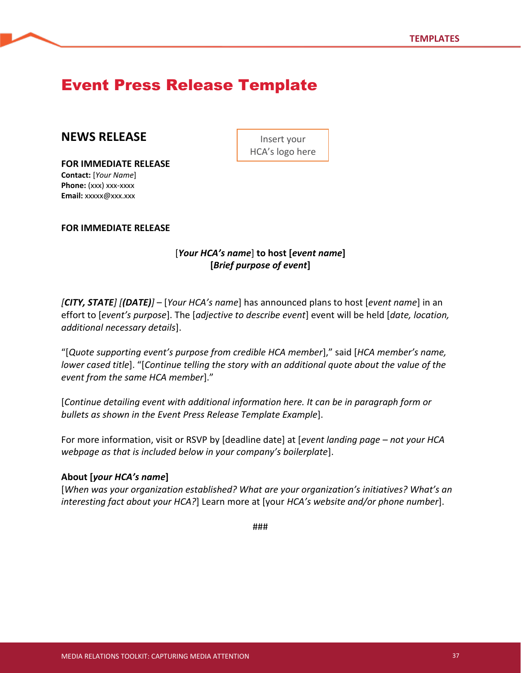## Event Press Release Template

## **NEWS RELEASE**

**FOR IMMEDIATE RELEASE Contact:** [*Your Name*] **Phone:** (xxx) xxx-xxxx **Email:** xxxxx@xxx.xxx

Insert your HCA's logo here

**FOR IMMEDIATE RELEASE**

### [*Your HCA's name*] **to host [***event name***] [***Brief purpose of event***]**

*[CITY, STATE] [(DATE)]* – [*Your HCA's name*] has announced plans to host [*event name*] in an effort to [*event's purpose*]. The [*adjective to describe event*] event will be held [*date, location, additional necessary details*].

"[*Quote supporting event's purpose from credible HCA member*]," said [*HCA member's name, lower cased title*]. "[*Continue telling the story with an additional quote about the value of the event from the same HCA member*]."

[*Continue detailing event with additional information here. It can be in paragraph form or bullets as shown in the Event Press Release Template Example*].

For more information, visit or RSVP by [deadline date] at [*event landing page – not your HCA webpage as that is included below in your company's boilerplate*].

#### **About [***your HCA's name***]**

[*When was your organization established? What are your organization's initiatives? What's an interesting fact about your HCA?*] Learn more at [your *HCA's website and/or phone number*].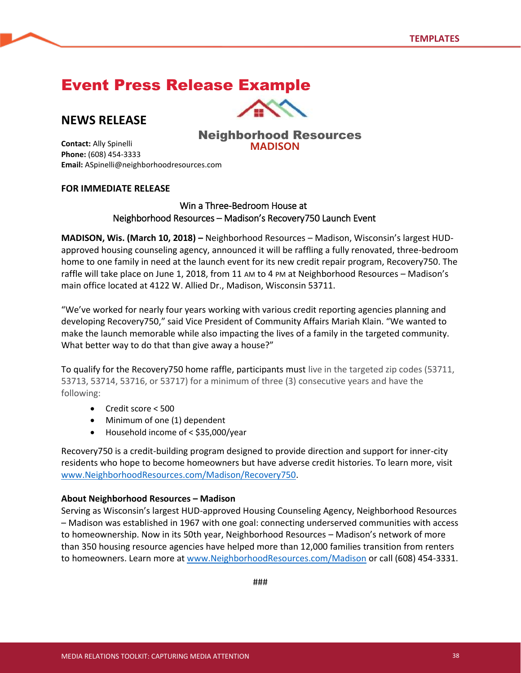## Event Press Release Example

## **NEWS RELEASE**



### Neighborhood Resources **MADISON**

**Contact:** Ally Spinelli **Phone:** (608) 454-3333 **Email:** ASpinelli@neighborhoodresources.com

#### **FOR IMMEDIATE RELEASE**

#### Win a Three-Bedroom House at Neighborhood Resources – Madison's Recovery750 Launch Event

**MADISON, Wis. (March 10, 2018) –** Neighborhood Resources – Madison, Wisconsin's largest HUDapproved housing counseling agency, announced it will be raffling a fully renovated, three-bedroom home to one family in need at the launch event for its new credit repair program, Recovery750. The raffle will take place on June 1, 2018, from 11 AM to 4 PM at Neighborhood Resources – Madison's main office located at 4122 W. Allied Dr., Madison, Wisconsin 53711.

"We've worked for nearly four years working with various credit reporting agencies planning and developing Recovery750," said Vice President of Community Affairs Mariah Klain. "We wanted to make the launch memorable while also impacting the lives of a family in the targeted community. What better way to do that than give away a house?"

To qualify for the Recovery750 home raffle, participants must live in the targeted zip codes (53711, 53713, 53714, 53716, or 53717) for a minimum of three (3) consecutive years and have the following:

- Credit score < 500
- Minimum of one (1) dependent
- Household income of < \$35,000/year

Recovery750 is a credit-building program designed to provide direction and support for inner-city residents who hope to become homeowners but have adverse credit histories. To learn more, visit [www.NeighborhoodResources.com/Madison/Recovery750.](http://www.neighborhoodresources.com/Madison/Recovery750)

#### **About Neighborhood Resources – Madison**

Serving as Wisconsin's largest HUD-approved Housing Counseling Agency, Neighborhood Resources – Madison was established in 1967 with one goal: connecting underserved communities with access to homeownership. Now in its 50th year, Neighborhood Resources – Madison's network of more than 350 housing resource agencies have helped more than 12,000 families transition from renters to homeowners. Learn more at [www.NeighborhoodResources.com/Madison](http://www.neighborhoodresources.com/Madison) or call (608) 454-3331.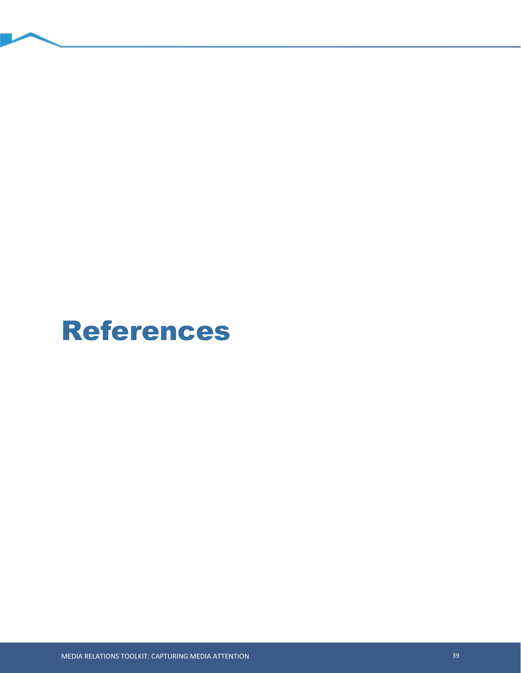## References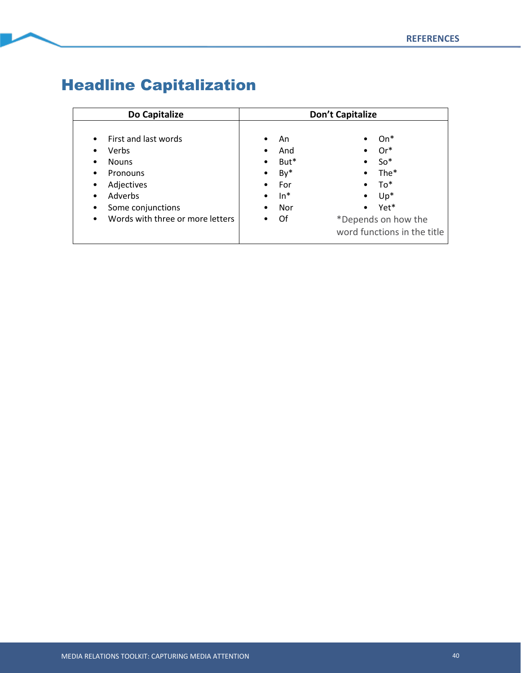## Headline Capitalization

| Do Capitalize                                                                                                                                                                       | Don't Capitalize                                                                           |                                                                                                                                                |  |
|-------------------------------------------------------------------------------------------------------------------------------------------------------------------------------------|--------------------------------------------------------------------------------------------|------------------------------------------------------------------------------------------------------------------------------------------------|--|
| First and last words<br>$\bullet$<br><b>Verbs</b><br><b>Nouns</b><br>٠<br>Pronouns<br>٠<br>Adjectives<br>٠<br>Adverbs<br>Some conjunctions<br>Words with three or more letters<br>٠ | An.<br>٠<br>And<br>٠<br>But*<br>$\bullet$<br>By*<br>$\bullet$<br>For<br>$In*$<br>Nor<br>Of | $On*$<br>$Or^*$<br>$So*$<br>٠<br>The*<br>$\bullet$<br>To*<br>$\bullet$<br>$Up^*$<br>Yet*<br>*Depends on how the<br>word functions in the title |  |